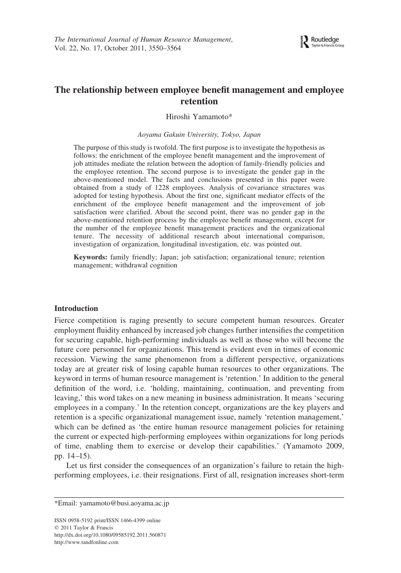# The relationship between employee benefit management and employee retention

Hiroshi Yamamoto\*

Aoyama Gakuin University, Tokyo, Japan

The purpose of this study is twofold. The first purpose is to investigate the hypothesis as follows: the enrichment of the employee benefit management and the improvement of job attitudes mediate the relation between the adoption of family-friendly policies and the employee retention. The second purpose is to investigate the gender gap in the above-mentioned model. The facts and conclusions presented in this paper were obtained from a study of 1228 employees. Analysis of covariance structures was adopted for testing hypothesis. About the first one, significant mediator effects of the enrichment of the employee benefit management and the improvement of job satisfaction were clarified. About the second point, there was no gender gap in the above-mentioned retention process by the employee benefit management, except for the number of the employee benefit management practices and the organizational tenure. The necessity of additional research about international comparison, investigation of organization, longitudinal investigation, etc. was pointed out.

Keywords: family friendly; Japan; job satisfaction; organizational tenure; retention management; withdrawal cognition

# Introduction

Fierce competition is raging presently to secure competent human resources. Greater employment fluidity enhanced by increased job changes further intensifies the competition for securing capable, high-performing individuals as well as those who will become the future core personnel for organizations. This trend is evident even in times of economic recession. Viewing the same phenomenon from a different perspective, organizations today are at greater risk of losing capable human resources to other organizations. The keyword in terms of human resource management is 'retention.' In addition to the general definition of the word, i.e. 'holding, maintaining, continuation, and preventing from leaving,' this word takes on a new meaning in business administration. It means 'securing employees in a company.' In the retention concept, organizations are the key players and retention is a specific organizational management issue, namely 'retention management,' which can be defined as 'the entire human resource management policies for retaining the current or expected high-performing employees within organizations for long periods of time, enabling them to exercise or develop their capabilities.' (Yamamoto 2009, pp. 14–15).

Let us first consider the consequences of an organization's failure to retain the highperforming employees, i.e. their resignations. First of all, resignation increases short-term

<sup>\*</sup>Email: yamamoto@busi.aoyama.ac.jp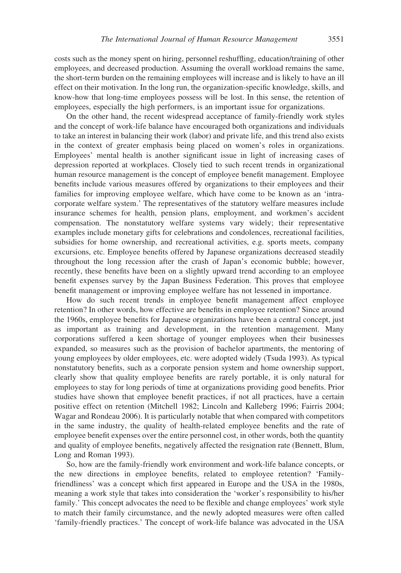costs such as the money spent on hiring, personnel reshuffling, education/training of other employees, and decreased production. Assuming the overall workload remains the same, the short-term burden on the remaining employees will increase and is likely to have an ill effect on their motivation. In the long run, the organization-specific knowledge, skills, and know-how that long-time employees possess will be lost. In this sense, the retention of employees, especially the high performers, is an important issue for organizations.

On the other hand, the recent widespread acceptance of family-friendly work styles and the concept of work-life balance have encouraged both organizations and individuals to take an interest in balancing their work (labor) and private life, and this trend also exists in the context of greater emphasis being placed on women's roles in organizations. Employees' mental health is another significant issue in light of increasing cases of depression reported at workplaces. Closely tied to such recent trends in organizational human resource management is the concept of employee benefit management. Employee benefits include various measures offered by organizations to their employees and their families for improving employee welfare, which have come to be known as an 'intracorporate welfare system.' The representatives of the statutory welfare measures include insurance schemes for health, pension plans, employment, and workmen's accident compensation. The nonstatutory welfare systems vary widely; their representative examples include monetary gifts for celebrations and condolences, recreational facilities, subsidies for home ownership, and recreational activities, e.g. sports meets, company excursions, etc. Employee benefits offered by Japanese organizations decreased steadily throughout the long recession after the crash of Japan's economic bubble; however, recently, these benefits have been on a slightly upward trend according to an employee benefit expenses survey by the Japan Business Federation. This proves that employee benefit management or improving employee welfare has not lessened in importance.

How do such recent trends in employee benefit management affect employee retention? In other words, how effective are benefits in employee retention? Since around the 1960s, employee benefits for Japanese organizations have been a central concept, just as important as training and development, in the retention management. Many corporations suffered a keen shortage of younger employees when their businesses expanded, so measures such as the provision of bachelor apartments, the mentoring of young employees by older employees, etc. were adopted widely (Tsuda 1993). As typical nonstatutory benefits, such as a corporate pension system and home ownership support, clearly show that quality employee benefits are rarely portable, it is only natural for employees to stay for long periods of time at organizations providing good benefits. Prior studies have shown that employee benefit practices, if not all practices, have a certain positive effect on retention (Mitchell 1982; Lincoln and Kalleberg 1996; Fairris 2004; Wagar and Rondeau 2006). It is particularly notable that when compared with competitors in the same industry, the quality of health-related employee benefits and the rate of employee benefit expenses over the entire personnel cost, in other words, both the quantity and quality of employee benefits, negatively affected the resignation rate (Bennett, Blum, Long and Roman 1993).

So, how are the family-friendly work environment and work-life balance concepts, or the new directions in employee benefits, related to employee retention? 'Familyfriendliness' was a concept which first appeared in Europe and the USA in the 1980s, meaning a work style that takes into consideration the 'worker's responsibility to his/her family.' This concept advocates the need to be flexible and change employees' work style to match their family circumstance, and the newly adopted measures were often called 'family-friendly practices.' The concept of work-life balance was advocated in the USA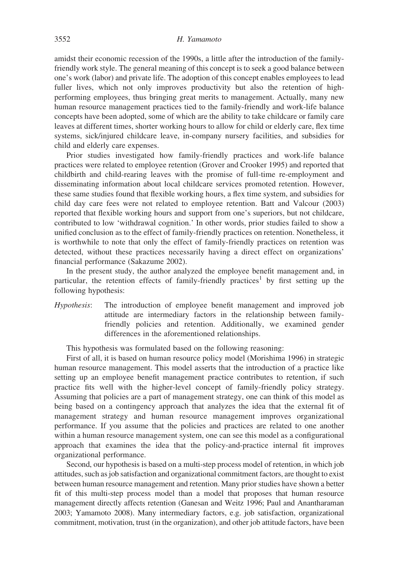amidst their economic recession of the 1990s, a little after the introduction of the familyfriendly work style. The general meaning of this concept is to seek a good balance between one's work (labor) and private life. The adoption of this concept enables employees to lead fuller lives, which not only improves productivity but also the retention of highperforming employees, thus bringing great merits to management. Actually, many new human resource management practices tied to the family-friendly and work-life balance concepts have been adopted, some of which are the ability to take childcare or family care leaves at different times, shorter working hours to allow for child or elderly care, flex time systems, sick/injured childcare leave, in-company nursery facilities, and subsidies for child and elderly care expenses.

Prior studies investigated how family-friendly practices and work-life balance practices were related to employee retention (Grover and Crooker 1995) and reported that childbirth and child-rearing leaves with the promise of full-time re-employment and disseminating information about local childcare services promoted retention. However, these same studies found that flexible working hours, a flex time system, and subsidies for child day care fees were not related to employee retention. Batt and Valcour (2003) reported that flexible working hours and support from one's superiors, but not childcare, contributed to low 'withdrawal cognition.' In other words, prior studies failed to show a unified conclusion as to the effect of family-friendly practices on retention. Nonetheless, it is worthwhile to note that only the effect of family-friendly practices on retention was detected, without these practices necessarily having a direct effect on organizations' financial performance (Sakazume 2002).

In the present study, the author analyzed the employee benefit management and, in particular, the retention effects of family-friendly practices<sup>1</sup> by first setting up the following hypothesis:

Hypothesis: The introduction of employee benefit management and improved job attitude are intermediary factors in the relationship between familyfriendly policies and retention. Additionally, we examined gender differences in the aforementioned relationships.

This hypothesis was formulated based on the following reasoning:

First of all, it is based on human resource policy model (Morishima 1996) in strategic human resource management. This model asserts that the introduction of a practice like setting up an employee benefit management practice contributes to retention, if such practice fits well with the higher-level concept of family-friendly policy strategy. Assuming that policies are a part of management strategy, one can think of this model as being based on a contingency approach that analyzes the idea that the external fit of management strategy and human resource management improves organizational performance. If you assume that the policies and practices are related to one another within a human resource management system, one can see this model as a configurational approach that examines the idea that the policy-and-practice internal fit improves organizational performance.

Second, our hypothesis is based on a multi-step process model of retention, in which job attitudes, such as job satisfaction and organizational commitment factors, are thought to exist between human resource management and retention. Many prior studies have shown a better fit of this multi-step process model than a model that proposes that human resource management directly affects retention (Ganesan and Weitz 1996; Paul and Anantharaman 2003; Yamamoto 2008). Many intermediary factors, e.g. job satisfaction, organizational commitment, motivation, trust (in the organization), and other job attitude factors, have been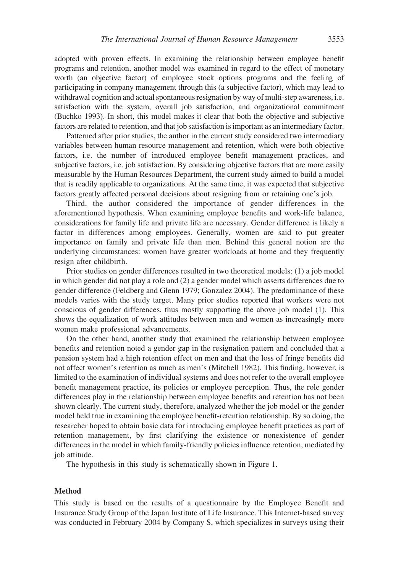adopted with proven effects. In examining the relationship between employee benefit programs and retention, another model was examined in regard to the effect of monetary worth (an objective factor) of employee stock options programs and the feeling of participating in company management through this (a subjective factor), which may lead to withdrawal cognition and actual spontaneous resignation by way of multi-step awareness, i.e. satisfaction with the system, overall job satisfaction, and organizational commitment (Buchko 1993). In short, this model makes it clear that both the objective and subjective factors are related to retention, and that job satisfaction is important as an intermediary factor.

Patterned after prior studies, the author in the current study considered two intermediary variables between human resource management and retention, which were both objective factors, i.e. the number of introduced employee benefit management practices, and subjective factors, i.e. job satisfaction. By considering objective factors that are more easily measurable by the Human Resources Department, the current study aimed to build a model that is readily applicable to organizations. At the same time, it was expected that subjective factors greatly affected personal decisions about resigning from or retaining one's job.

Third, the author considered the importance of gender differences in the aforementioned hypothesis. When examining employee benefits and work-life balance, considerations for family life and private life are necessary. Gender difference is likely a factor in differences among employees. Generally, women are said to put greater importance on family and private life than men. Behind this general notion are the underlying circumstances: women have greater workloads at home and they frequently resign after childbirth.

Prior studies on gender differences resulted in two theoretical models: (1) a job model in which gender did not play a role and (2) a gender model which asserts differences due to gender difference (Feldberg and Glenn 1979; Gonzalez 2004). The predominance of these models varies with the study target. Many prior studies reported that workers were not conscious of gender differences, thus mostly supporting the above job model (1). This shows the equalization of work attitudes between men and women as increasingly more women make professional advancements.

On the other hand, another study that examined the relationship between employee benefits and retention noted a gender gap in the resignation pattern and concluded that a pension system had a high retention effect on men and that the loss of fringe benefits did not affect women's retention as much as men's (Mitchell 1982). This finding, however, is limited to the examination of individual systems and does not refer to the overall employee benefit management practice, its policies or employee perception. Thus, the role gender differences play in the relationship between employee benefits and retention has not been shown clearly. The current study, therefore, analyzed whether the job model or the gender model held true in examining the employee benefit-retention relationship. By so doing, the researcher hoped to obtain basic data for introducing employee benefit practices as part of retention management, by first clarifying the existence or nonexistence of gender differences in the model in which family-friendly policies influence retention, mediated by job attitude.

The hypothesis in this study is schematically shown in Figure 1.

### Method

This study is based on the results of a questionnaire by the Employee Benefit and Insurance Study Group of the Japan Institute of Life Insurance. This Internet-based survey was conducted in February 2004 by Company S, which specializes in surveys using their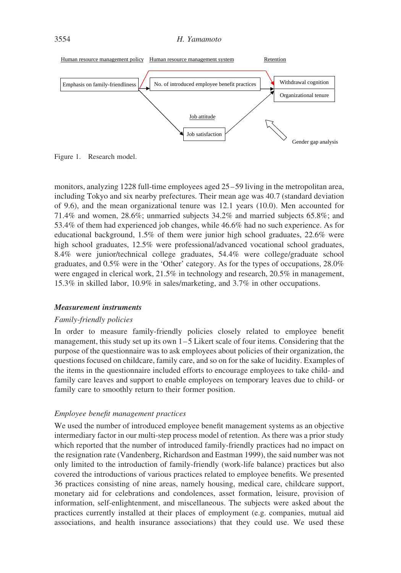#### 3554 H. Yamamoto



Figure 1. Research model.

monitors, analyzing 1228 full-time employees aged 25– 59 living in the metropolitan area, including Tokyo and six nearby prefectures. Their mean age was 40.7 (standard deviation of 9.6), and the mean organizational tenure was 12.1 years (10.0). Men accounted for 71.4% and women, 28.6%; unmarried subjects 34.2% and married subjects 65.8%; and 53.4% of them had experienced job changes, while 46.6% had no such experience. As for educational background, 1.5% of them were junior high school graduates, 22.6% were high school graduates, 12.5% were professional/advanced vocational school graduates, 8.4% were junior/technical college graduates, 54.4% were college/graduate school graduates, and 0.5% were in the 'Other' category. As for the types of occupations, 28.0% were engaged in clerical work, 21.5% in technology and research, 20.5% in management, 15.3% in skilled labor, 10.9% in sales/marketing, and 3.7% in other occupations.

# Measurement instruments

### Family-friendly policies

In order to measure family-friendly policies closely related to employee benefit management, this study set up its own  $1-5$  Likert scale of four items. Considering that the purpose of the questionnaire was to ask employees about policies of their organization, the questions focused on childcare, family care, and so on for the sake of lucidity. Examples of the items in the questionnaire included efforts to encourage employees to take child- and family care leaves and support to enable employees on temporary leaves due to child- or family care to smoothly return to their former position.

### Employee benefit management practices

We used the number of introduced employee benefit management systems as an objective intermediary factor in our multi-step process model of retention. As there was a prior study which reported that the number of introduced family-friendly practices had no impact on the resignation rate (Vandenberg, Richardson and Eastman 1999), the said number was not only limited to the introduction of family-friendly (work-life balance) practices but also covered the introductions of various practices related to employee benefits. We presented 36 practices consisting of nine areas, namely housing, medical care, childcare support, monetary aid for celebrations and condolences, asset formation, leisure, provision of information, self-enlightenment, and miscellaneous. The subjects were asked about the practices currently installed at their places of employment (e.g. companies, mutual aid associations, and health insurance associations) that they could use. We used these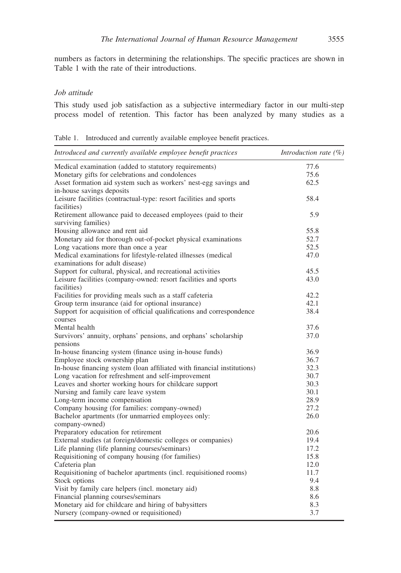numbers as factors in determining the relationships. The specific practices are shown in Table 1 with the rate of their introductions.

# Job attitude

This study used job satisfaction as a subjective intermediary factor in our multi-step process model of retention. This factor has been analyzed by many studies as a

| Table 1. | Introduced and currently available employee benefit practices. |  |  |  |
|----------|----------------------------------------------------------------|--|--|--|
|          |                                                                |  |  |  |

| Introduced and currently available employee benefit practices                                 | Introduction rate $(\%)$ |
|-----------------------------------------------------------------------------------------------|--------------------------|
| Medical examination (added to statutory requirements)                                         | 77.6                     |
| Monetary gifts for celebrations and condolences                                               | 75.6                     |
| Asset formation aid system such as workers' nest-egg savings and<br>in-house savings deposits | 62.5                     |
| Leisure facilities (contractual-type: resort facilities and sports<br>facilities)             | 58.4                     |
| Retirement allowance paid to deceased employees (paid to their<br>surviving families)         | 5.9                      |
| Housing allowance and rent aid                                                                | 55.8                     |
| Monetary aid for thorough out-of-pocket physical examinations                                 | 52.7                     |
| Long vacations more than once a year                                                          | 52.5                     |
| Medical examinations for lifestyle-related illnesses (medical                                 | 47.0                     |
| examinations for adult disease)                                                               |                          |
| Support for cultural, physical, and recreational activities                                   | 45.5                     |
| Leisure facilities (company-owned: resort facilities and sports<br>facilities)                | 43.0                     |
| Facilities for providing meals such as a staff cafeteria                                      | 42.2                     |
| Group term insurance (aid for optional insurance)                                             | 42.1                     |
| Support for acquisition of official qualifications and correspondence                         | 38.4                     |
| courses                                                                                       |                          |
| Mental health                                                                                 | 37.6                     |
| Survivors' annuity, orphans' pensions, and orphans' scholarship                               | 37.0                     |
| pensions                                                                                      |                          |
| In-house financing system (finance using in-house funds)                                      | 36.9                     |
| Employee stock ownership plan                                                                 | 36.7                     |
| In-house financing system (loan affiliated with financial institutions)                       | 32.3                     |
| Long vacation for refreshment and self-improvement                                            | 30.7                     |
| Leaves and shorter working hours for childcare support                                        | 30.3                     |
| Nursing and family care leave system                                                          | 30.1                     |
| Long-term income compensation                                                                 | 28.9                     |
| Company housing (for families: company-owned)                                                 | 27.2                     |
| Bachelor apartments (for unmarried employees only:                                            | 26.0                     |
| company-owned)                                                                                |                          |
| Preparatory education for retirement                                                          | 20.6                     |
| External studies (at foreign/domestic colleges or companies)                                  | 19.4                     |
| Life planning (life planning courses/seminars)                                                | 17.2                     |
| Requisitioning of company housing (for families)                                              | 15.8                     |
| Cafeteria plan                                                                                | 12.0                     |
| Requisitioning of bachelor apartments (incl. requisitioned rooms)                             | 11.7                     |
| Stock options                                                                                 | 9.4                      |
| Visit by family care helpers (incl. monetary aid)                                             | 8.8                      |
| Financial planning courses/seminars                                                           | 8.6                      |
| Monetary aid for childcare and hiring of babysitters                                          | 8.3                      |
| Nursery (company-owned or requisitioned)                                                      | 3.7                      |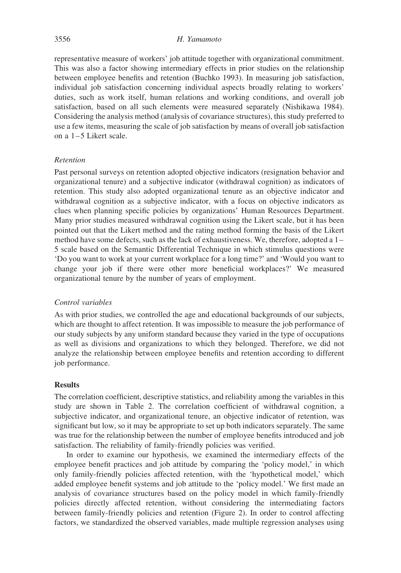representative measure of workers' job attitude together with organizational commitment. This was also a factor showing intermediary effects in prior studies on the relationship between employee benefits and retention (Buchko 1993). In measuring job satisfaction, individual job satisfaction concerning individual aspects broadly relating to workers' duties, such as work itself, human relations and working conditions, and overall job satisfaction, based on all such elements were measured separately (Nishikawa 1984). Considering the analysis method (analysis of covariance structures), this study preferred to use a few items, measuring the scale of job satisfaction by means of overall job satisfaction on a  $1-5$  Likert scale.

# Retention

Past personal surveys on retention adopted objective indicators (resignation behavior and organizational tenure) and a subjective indicator (withdrawal cognition) as indicators of retention. This study also adopted organizational tenure as an objective indicator and withdrawal cognition as a subjective indicator, with a focus on objective indicators as clues when planning specific policies by organizations' Human Resources Department. Many prior studies measured withdrawal cognition using the Likert scale, but it has been pointed out that the Likert method and the rating method forming the basis of the Likert method have some defects, such as the lack of exhaustiveness. We, therefore, adopted a 1 – 5 scale based on the Semantic Differential Technique in which stimulus questions were 'Do you want to work at your current workplace for a long time?' and 'Would you want to change your job if there were other more beneficial workplaces?' We measured organizational tenure by the number of years of employment.

## Control variables

As with prior studies, we controlled the age and educational backgrounds of our subjects, which are thought to affect retention. It was impossible to measure the job performance of our study subjects by any uniform standard because they varied in the type of occupations as well as divisions and organizations to which they belonged. Therefore, we did not analyze the relationship between employee benefits and retention according to different job performance.

# Results

The correlation coefficient, descriptive statistics, and reliability among the variables in this study are shown in Table 2. The correlation coefficient of withdrawal cognition, a subjective indicator, and organizational tenure, an objective indicator of retention, was significant but low, so it may be appropriate to set up both indicators separately. The same was true for the relationship between the number of employee benefits introduced and job satisfaction. The reliability of family-friendly policies was verified.

In order to examine our hypothesis, we examined the intermediary effects of the employee benefit practices and job attitude by comparing the 'policy model,' in which only family-friendly policies affected retention, with the 'hypothetical model,' which added employee benefit systems and job attitude to the 'policy model.' We first made an analysis of covariance structures based on the policy model in which family-friendly policies directly affected retention, without considering the intermediating factors between family-friendly policies and retention (Figure 2). In order to control affecting factors, we standardized the observed variables, made multiple regression analyses using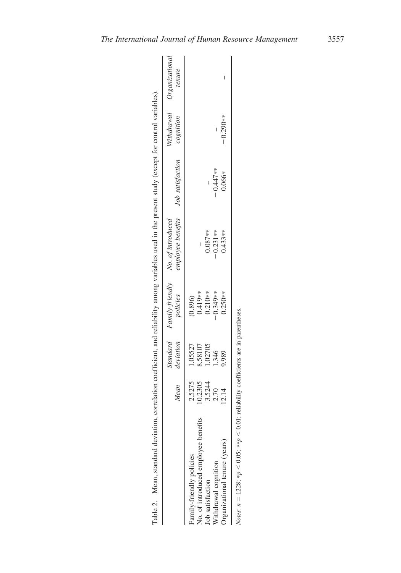|                  | Table 2. Mean, standard deviation, correlation coefficient, and reliability among variables used in the present study (except for control variables). |        |                              |           |                                                        |                  |            |                                     |
|------------------|-------------------------------------------------------------------------------------------------------------------------------------------------------|--------|------------------------------|-----------|--------------------------------------------------------|------------------|------------|-------------------------------------|
|                  |                                                                                                                                                       | Mean   | <b>Standard</b><br>deviation | policies  | employee benefits<br>Family-friendly No. of introduced | Job satisfaction | cognition  | Withdrawal Organizational<br>tenure |
|                  | Family-friendly policies                                                                                                                              | 2.5275 | 1.05527                      | 0.896)    |                                                        |                  |            |                                     |
|                  | No. of introduced employee benefits                                                                                                                   | 0.2305 | 8.58107                      | 0.419**   |                                                        |                  |            |                                     |
| Job satisfaction |                                                                                                                                                       | 3.5244 | 1.02705                      | $0.210**$ | $0.087**$                                              |                  |            |                                     |
|                  | Withdrawal cognition                                                                                                                                  | 2.70   | 1.346                        | $0.349**$ | $-0.231**$                                             | $-0.447**$       |            |                                     |
|                  | Organizational tenure (years)                                                                                                                         | 12.14  | 9.989                        | $0.250**$ | $0.433**$                                              | 0.066*           | $-0.290**$ |                                     |
|                  | <i>Notes</i> : $n = 1228$ ; * $p < 0.05$ ; ** $p < 0.01$ ; reliability coefficients are in parentheses.                                               |        |                              |           |                                                        |                  |            |                                     |

| The construction of<br>ı                                              |
|-----------------------------------------------------------------------|
| ֖֖֖֖֖֖֖֖֖֧ׅ֖֖֧֪֪ׅ֖֧֚֚֚֚֚֚֚֚֚֚֚֚֚֚֚֚֚֚֚֚֚֚֚֚֚֚֬֝֝֓֞                    |
| .<br>.<br>.<br>.<br>֖֖֖֪ׅ֪ׅׅׅ֖֖֚֚֚֚֚֚֚֚֚֚֚֚֚֚֚֚֚֚֬֝֕֓֕֝֝֝֝֬֝֬֝֬֝֓֬֝֓֬ |
| í<br>i<br> <br> <br>l<br>í                                            |
| l<br>l                                                                |
| l                                                                     |
| ١                                                                     |
|                                                                       |
|                                                                       |
| ;<br>j                                                                |
|                                                                       |
|                                                                       |
| j<br>ì<br>Ì<br>֧֦֧֢ׅ֧֦֧֧֚֚֚֚֚֚֚֚֚֚֚֚֚֚֚֚֚֚֚֬֜֡֝                       |
| I                                                                     |
| l<br>Ï                                                                |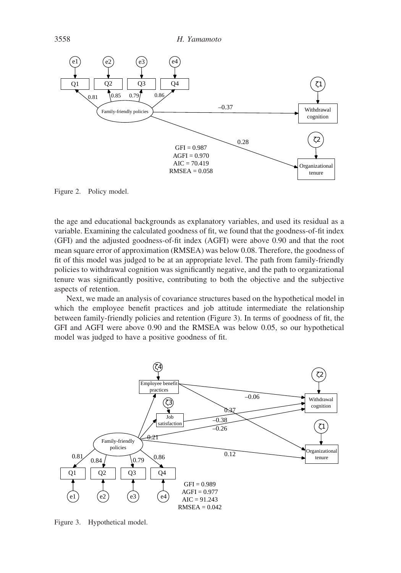

Figure 2. Policy model.

the age and educational backgrounds as explanatory variables, and used its residual as a variable. Examining the calculated goodness of fit, we found that the goodness-of-fit index (GFI) and the adjusted goodness-of-fit index (AGFI) were above 0.90 and that the root mean square error of approximation (RMSEA) was below 0.08. Therefore, the goodness of fit of this model was judged to be at an appropriate level. The path from family-friendly policies to withdrawal cognition was significantly negative, and the path to organizational tenure was significantly positive, contributing to both the objective and the subjective aspects of retention.

Next, we made an analysis of covariance structures based on the hypothetical model in which the employee benefit practices and job attitude intermediate the relationship between family-friendly policies and retention (Figure 3). In terms of goodness of fit, the GFI and AGFI were above 0.90 and the RMSEA was below 0.05, so our hypothetical model was judged to have a positive goodness of fit.



Figure 3. Hypothetical model.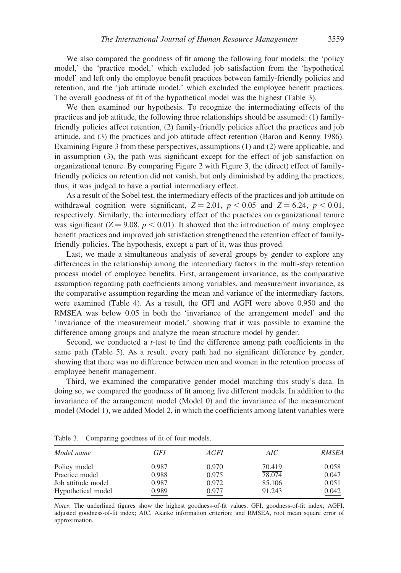We also compared the goodness of fit among the following four models: the 'policy model,' the 'practice model,' which excluded job satisfaction from the 'hypothetical model' and left only the employee benefit practices between family-friendly policies and retention, and the 'job attitude model,' which excluded the employee benefit practices. The overall goodness of fit of the hypothetical model was the highest (Table 3).

We then examined our hypothesis. To recognize the intermediating effects of the practices and job attitude, the following three relationships should be assumed: (1) familyfriendly policies affect retention, (2) family-friendly policies affect the practices and job attitude, and (3) the practices and job attitude affect retention (Baron and Kenny 1986). Examining Figure 3 from these perspectives, assumptions (1) and (2) were applicable, and in assumption (3), the path was significant except for the effect of job satisfaction on organizational tenure. By comparing Figure 2 with Figure 3, the (direct) effect of familyfriendly policies on retention did not vanish, but only diminished by adding the practices; thus, it was judged to have a partial intermediary effect.

As a result of the Sobel test, the intermediary effects of the practices and job attitude on withdrawal cognition were significant,  $Z = 2.01$ ,  $p < 0.05$  and  $Z = 6.24$ ,  $p < 0.01$ , respectively. Similarly, the intermediary effect of the practices on organizational tenure was significant  $(Z = 9.08, p < 0.01)$ . It showed that the introduction of many employee benefit practices and improved job satisfaction strengthened the retention effect of familyfriendly policies. The hypothesis, except a part of it, was thus proved.

Last, we made a simultaneous analysis of several groups by gender to explore any differences in the relationship among the intermediary factors in the multi-step retention process model of employee benefits. First, arrangement invariance, as the comparative assumption regarding path coefficients among variables, and measurement invariance, as the comparative assumption regarding the mean and variance of the intermediary factors, were examined (Table 4). As a result, the GFI and AGFI were above 0.950 and the RMSEA was below 0.05 in both the 'invariance of the arrangement model' and the 'invariance of the measurement model,' showing that it was possible to examine the difference among groups and analyze the mean structure model by gender.

Second, we conducted a t-test to find the difference among path coefficients in the same path (Table 5). As a result, every path had no significant difference by gender, showing that there was no difference between men and women in the retention process of employee benefit management.

Third, we examined the comparative gender model matching this study's data. In doing so, we compared the goodness of fit among five different models. In addition to the invariance of the arrangement model (Model 0) and the invariance of the measurement model (Model 1), we added Model 2, in which the coefficients among latent variables were

| Model name         | GFI   | AGFI  | AIC    | RMSEA |
|--------------------|-------|-------|--------|-------|
| Policy model       | 0.987 | 0.970 | 70.419 | 0.058 |
| Practice model     | 0.988 | 0.975 | 78.074 | 0.047 |
| Job attitude model | 0.987 | 0.972 | 85.106 | 0.051 |
| Hypothetical model | 0.989 | 0.977 | 91.243 | 0.042 |

Table 3. Comparing goodness of fit of four models.

Notes: The underlined figures show the highest goodness-of-fit values. GFI, goodness-of-fit index; AGFI, adjusted goodness-of-fit index; AIC, Akaike information criterion; and RMSEA, root mean square error of approximation.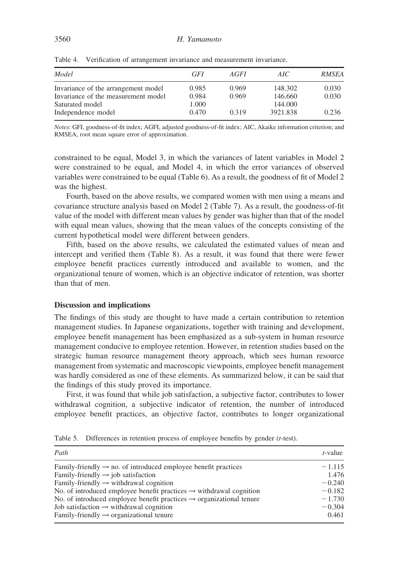| Model                                                                      | GFI            | AGFI           | AIC                 | <b>RMSEA</b>   |
|----------------------------------------------------------------------------|----------------|----------------|---------------------|----------------|
| Invariance of the arrangement model<br>Invariance of the measurement model | 0.985<br>0.984 | 0.969<br>0.969 | 148.302<br>146.660  | 0.030<br>0.030 |
| Saturated model<br>Independence model                                      | 1.000<br>0.470 | 0.319          | 144,000<br>3921.838 | 0.236          |

Table 4. Verification of arrangement invariance and measurement invariance.

Notes: GFI, goodness-of-fit index; AGFI, adjusted goodness-of-fit index; AIC, Akaike information criterion; and RMSEA, root mean square error of approximation.

constrained to be equal, Model 3, in which the variances of latent variables in Model 2 were constrained to be equal, and Model 4, in which the error variances of observed variables were constrained to be equal (Table 6). As a result, the goodness of fit of Model 2 was the highest.

Fourth, based on the above results, we compared women with men using a means and covariance structure analysis based on Model 2 (Table 7). As a result, the goodness-of-fit value of the model with different mean values by gender was higher than that of the model with equal mean values, showing that the mean values of the concepts consisting of the current hypothetical model were different between genders.

Fifth, based on the above results, we calculated the estimated values of mean and intercept and verified them (Table 8). As a result, it was found that there were fewer employee benefit practices currently introduced and available to women, and the organizational tenure of women, which is an objective indicator of retention, was shorter than that of men.

### Discussion and implications

The findings of this study are thought to have made a certain contribution to retention management studies. In Japanese organizations, together with training and development, employee benefit management has been emphasized as a sub-system in human resource management conducive to employee retention. However, in retention studies based on the strategic human resource management theory approach, which sees human resource management from systematic and macroscopic viewpoints, employee benefit management was hardly considered as one of these elements. As summarized below, it can be said that the findings of this study proved its importance.

First, it was found that while job satisfaction, a subjective factor, contributes to lower withdrawal cognition, a subjective indicator of retention, the number of introduced employee benefit practices, an objective factor, contributes to longer organizational

| Table 5. Differences in retention process of employee benefits by gender $(t$ -test). |  |  |
|---------------------------------------------------------------------------------------|--|--|
|---------------------------------------------------------------------------------------|--|--|

| Path                                                                             | $t$ -value |
|----------------------------------------------------------------------------------|------------|
| Family-friendly $\rightarrow$ no. of introduced employee benefit practices       | $-1.115$   |
| Family-friendly $\rightarrow$ job satisfaction                                   | 1.476      |
| Family-friendly $\rightarrow$ withdrawal cognition                               | $-0.240$   |
| No. of introduced employee benefit practices $\rightarrow$ withdrawal cognition  | $-0.182$   |
| No. of introduced employee benefit practices $\rightarrow$ organizational tenure | $-1.730$   |
| Job satisfaction $\rightarrow$ withdrawal cognition                              | $-0.304$   |
| Family-friendly $\rightarrow$ organizational tenure                              | 0.461      |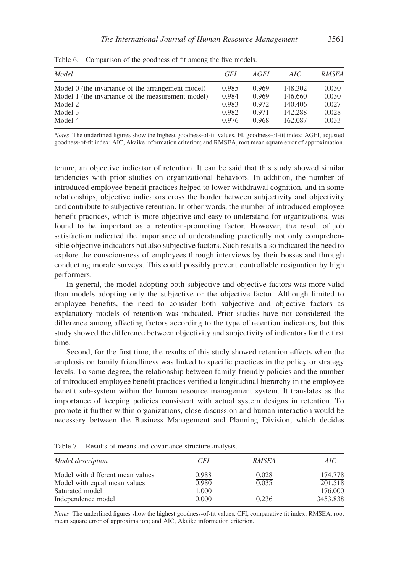| Model                                             | GFI   | AGFI  | AIC     | <i>RMSEA</i> |
|---------------------------------------------------|-------|-------|---------|--------------|
| Model 0 (the invariance of the arrangement model) | 0.985 | 0.969 | 148.302 | 0.030        |
| Model 1 (the invariance of the measurement model) | 0.984 | 0.969 | 146.660 | 0.030        |
| Model 2                                           | 0.983 | 0.972 | 140.406 | 0.027        |
| Model 3                                           | 0.982 | 0.971 | 142.288 | 0.028        |
| Model 4                                           | 0.976 | 0.968 | 162.087 | 0.033        |

Table 6. Comparison of the goodness of fit among the five models.

Notes: The underlined figures show the highest goodness-of-fit values. FI, goodness-of-fit index; AGFI, adjusted goodness-of-fit index; AIC, Akaike information criterion; and RMSEA, root mean square error of approximation.

tenure, an objective indicator of retention. It can be said that this study showed similar tendencies with prior studies on organizational behaviors. In addition, the number of introduced employee benefit practices helped to lower withdrawal cognition, and in some relationships, objective indicators cross the border between subjectivity and objectivity and contribute to subjective retention. In other words, the number of introduced employee benefit practices, which is more objective and easy to understand for organizations, was found to be important as a retention-promoting factor. However, the result of job satisfaction indicated the importance of understanding practically not only comprehensible objective indicators but also subjective factors. Such results also indicated the need to explore the consciousness of employees through interviews by their bosses and through conducting morale surveys. This could possibly prevent controllable resignation by high performers.

In general, the model adopting both subjective and objective factors was more valid than models adopting only the subjective or the objective factor. Although limited to employee benefits, the need to consider both subjective and objective factors as explanatory models of retention was indicated. Prior studies have not considered the difference among affecting factors according to the type of retention indicators, but this study showed the difference between objectivity and subjectivity of indicators for the first time.

Second, for the first time, the results of this study showed retention effects when the emphasis on family friendliness was linked to specific practices in the policy or strategy levels. To some degree, the relationship between family-friendly policies and the number of introduced employee benefit practices verified a longitudinal hierarchy in the employee benefit sub-system within the human resource management system. It translates as the importance of keeping policies consistent with actual system designs in retention. To promote it further within organizations, close discussion and human interaction would be necessary between the Business Management and Planning Division, which decides

| Model description                | CFI   | <b>RMSEA</b> | AIC      |
|----------------------------------|-------|--------------|----------|
| Model with different mean values | 0.988 | 0.028        | 174.778  |
| Model with equal mean values     | 0.980 | 0.035        | 201.518  |
| Saturated model                  | 1.000 |              | 176.000  |
| Independence model               | 0.000 | 0.236        | 3453.838 |

Table 7. Results of means and covariance structure analysis.

Notes: The underlined figures show the highest goodness-of-fit values. CFI, comparative fit index; RMSEA, root mean square error of approximation; and AIC, Akaike information criterion.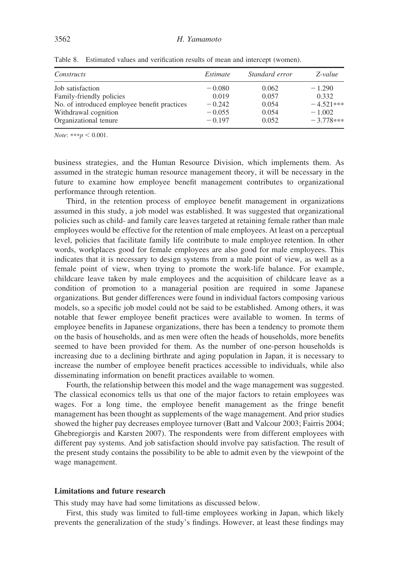| Constructs                                   | <i>Estimate</i> | Standard error | Z-value     |
|----------------------------------------------|-----------------|----------------|-------------|
| Job satisfaction                             | $-0.080$        | 0.062          | $-1.290$    |
| Family-friendly policies                     | 0.019           | 0.057          | 0.332       |
| No. of introduced employee benefit practices | $-0.242$        | 0.054          | $-4.521***$ |
| Withdrawal cognition                         | $-0.055$        | 0.054          | $-1.002$    |
| Organizational tenure                        | $-0.197$        | 0.052          | $-3.778***$ |

Table 8. Estimated values and verification results of mean and intercept (women).

 $Note: ***p < 0.001.$ 

business strategies, and the Human Resource Division, which implements them. As assumed in the strategic human resource management theory, it will be necessary in the future to examine how employee benefit management contributes to organizational performance through retention.

Third, in the retention process of employee benefit management in organizations assumed in this study, a job model was established. It was suggested that organizational policies such as child- and family care leaves targeted at retaining female rather than male employees would be effective for the retention of male employees. At least on a perceptual level, policies that facilitate family life contribute to male employee retention. In other words, workplaces good for female employees are also good for male employees. This indicates that it is necessary to design systems from a male point of view, as well as a female point of view, when trying to promote the work-life balance. For example, childcare leave taken by male employees and the acquisition of childcare leave as a condition of promotion to a managerial position are required in some Japanese organizations. But gender differences were found in individual factors composing various models, so a specific job model could not be said to be established. Among others, it was notable that fewer employee benefit practices were available to women. In terms of employee benefits in Japanese organizations, there has been a tendency to promote them on the basis of households, and as men were often the heads of households, more benefits seemed to have been provided for them. As the number of one-person households is increasing due to a declining birthrate and aging population in Japan, it is necessary to increase the number of employee benefit practices accessible to individuals, while also disseminating information on benefit practices available to women.

Fourth, the relationship between this model and the wage management was suggested. The classical economics tells us that one of the major factors to retain employees was wages. For a long time, the employee benefit management as the fringe benefit management has been thought as supplements of the wage management. And prior studies showed the higher pay decreases employee turnover (Batt and Valcour 2003; Fairris 2004; Ghebregiorgis and Karsten 2007). The respondents were from different employees with different pay systems. And job satisfaction should involve pay satisfaction. The result of the present study contains the possibility to be able to admit even by the viewpoint of the wage management.

### Limitations and future research

This study may have had some limitations as discussed below.

First, this study was limited to full-time employees working in Japan, which likely prevents the generalization of the study's findings. However, at least these findings may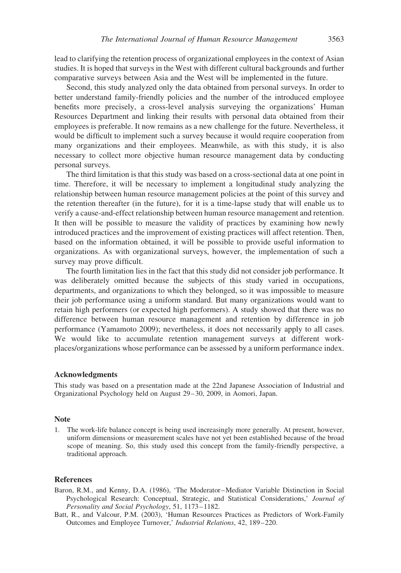lead to clarifying the retention process of organizational employees in the context of Asian studies. It is hoped that surveys in the West with different cultural backgrounds and further comparative surveys between Asia and the West will be implemented in the future.

Second, this study analyzed only the data obtained from personal surveys. In order to better understand family-friendly policies and the number of the introduced employee benefits more precisely, a cross-level analysis surveying the organizations' Human Resources Department and linking their results with personal data obtained from their employees is preferable. It now remains as a new challenge for the future. Nevertheless, it would be difficult to implement such a survey because it would require cooperation from many organizations and their employees. Meanwhile, as with this study, it is also necessary to collect more objective human resource management data by conducting personal surveys.

The third limitation is that this study was based on a cross-sectional data at one point in time. Therefore, it will be necessary to implement a longitudinal study analyzing the relationship between human resource management policies at the point of this survey and the retention thereafter (in the future), for it is a time-lapse study that will enable us to verify a cause-and-effect relationship between human resource management and retention. It then will be possible to measure the validity of practices by examining how newly introduced practices and the improvement of existing practices will affect retention. Then, based on the information obtained, it will be possible to provide useful information to organizations. As with organizational surveys, however, the implementation of such a survey may prove difficult.

The fourth limitation lies in the fact that this study did not consider job performance. It was deliberately omitted because the subjects of this study varied in occupations, departments, and organizations to which they belonged, so it was impossible to measure their job performance using a uniform standard. But many organizations would want to retain high performers (or expected high performers). A study showed that there was no difference between human resource management and retention by difference in job performance (Yamamoto 2009); nevertheless, it does not necessarily apply to all cases. We would like to accumulate retention management surveys at different workplaces/organizations whose performance can be assessed by a uniform performance index.

# Acknowledgments

This study was based on a presentation made at the 22nd Japanese Association of Industrial and Organizational Psychology held on August 29 – 30, 2009, in Aomori, Japan.

# Note

1. The work-life balance concept is being used increasingly more generally. At present, however, uniform dimensions or measurement scales have not yet been established because of the broad scope of meaning. So, this study used this concept from the family-friendly perspective, a traditional approach.

# References

- Baron, R.M., and Kenny, D.A. (1986), 'The Moderator –Mediator Variable Distinction in Social Psychological Research: Conceptual, Strategic, and Statistical Considerations,' Journal of Personality and Social Psychology, 51, 1173-1182.
- Batt, R., and Valcour, P.M. (2003), 'Human Resources Practices as Predictors of Work-Family Outcomes and Employee Turnover,' Industrial Relations, 42, 189 –220.